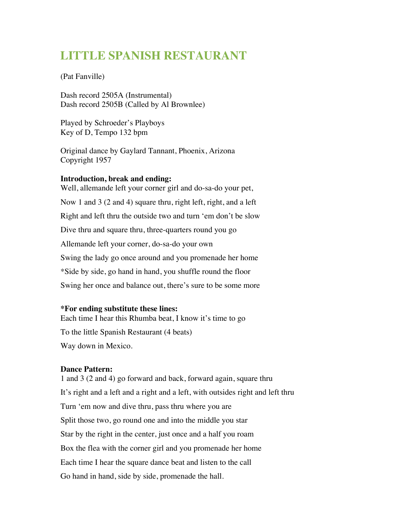# **LITTLE SPANISH RESTAURANT**

(Pat Fanville)

Dash record 2505A (Instrumental) Dash record 2505B (Called by Al Brownlee)

Played by Schroeder's Playboys Key of D, Tempo 132 bpm

Original dance by Gaylard Tannant, Phoenix, Arizona Copyright 1957

### **Introduction, break and ending:**

Well, allemande left your corner girl and do-sa-do your pet, Now 1 and 3 (2 and 4) square thru, right left, right, and a left Right and left thru the outside two and turn 'em don't be slow Dive thru and square thru, three-quarters round you go Allemande left your corner, do-sa-do your own Swing the lady go once around and you promenade her home \*Side by side, go hand in hand, you shuffle round the floor Swing her once and balance out, there's sure to be some more

## **\*For ending substitute these lines:**

Each time I hear this Rhumba beat, I know it's time to go To the little Spanish Restaurant (4 beats) Way down in Mexico.

### **Dance Pattern:**

1 and 3 (2 and 4) go forward and back, forward again, square thru It's right and a left and a right and a left, with outsides right and left thru Turn 'em now and dive thru, pass thru where you are Split those two, go round one and into the middle you star Star by the right in the center, just once and a half you roam Box the flea with the corner girl and you promenade her home Each time I hear the square dance beat and listen to the call Go hand in hand, side by side, promenade the hall.